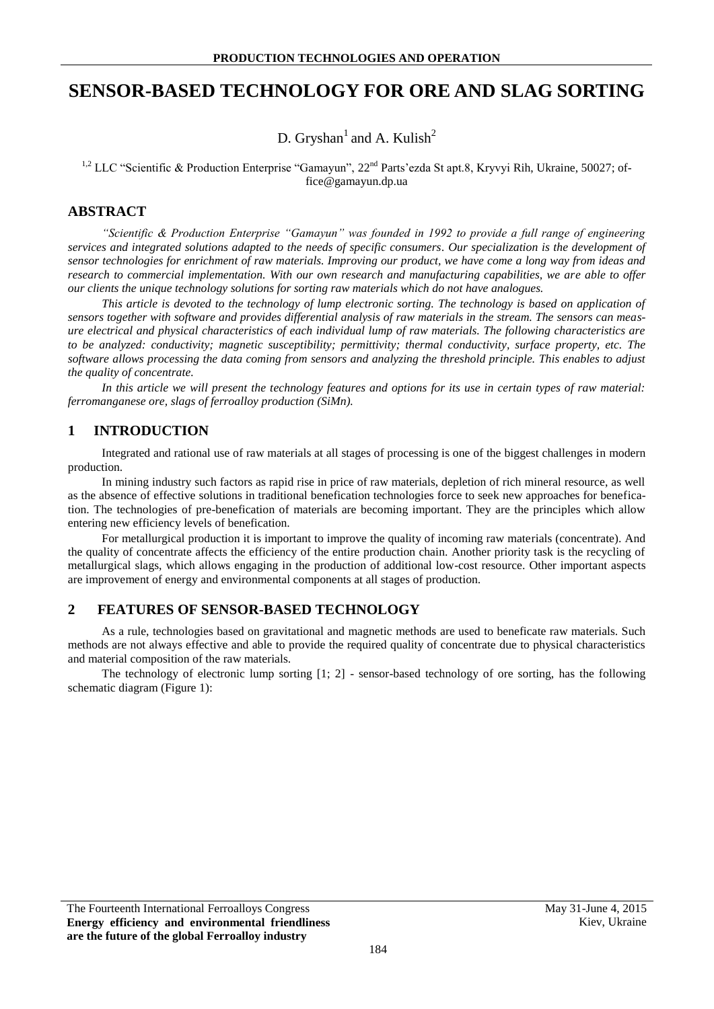# **SENSOR-BASED TECHNOLOGY FOR ORE AND SLAG SORTING**

D. Gryshan<sup>1</sup> and A. Kulish<sup>2</sup>

<sup>1,2</sup> LLC "Scientific & Production Enterprise "Gamayun",  $22<sup>nd</sup>$  Parts'ezda St apt.8, Kryvyi Rih, Ukraine, 50027; office@gamayun.dp.ua

## **ABSTRACT**

*"Scientific & Production Enterprise "Gamayun" was founded in 1992 to provide a full range of engineering services and integrated solutions adapted to the needs of specific consumers. Our specialization is the development of sensor technologies for enrichment of raw materials. Improving our product, we have come a long way from ideas and research to commercial implementation. With our own research and manufacturing capabilities, we are able to offer our clients the unique technology solutions for sorting raw materials which do not have analogues.* 

*This article is devoted to the technology of lump electronic sorting. The technology is based on application of sensors together with software and provides differential analysis of raw materials in the stream. The sensors can measure electrical and physical characteristics of each individual lump of raw materials. The following characteristics are to be analyzed: conductivity; magnetic susceptibility; permittivity; thermal conductivity, surface property, etc. The software allows processing the data coming from sensors and analyzing the threshold principle. This enables to adjust the quality of concentrate.*

*In this article we will present the technology features and options for its use in certain types of raw material: ferromanganese ore, slags of ferroalloy production (SiMn).*

# **1 INTRODUCTION**

Integrated and rational use of raw materials at all stages of processing is one of the biggest challenges in modern production.

In mining industry such factors as rapid rise in price of raw materials, depletion of rich mineral resource, as well as the absence of effective solutions in traditional benefication technologies force to seek new approaches for benefication. The technologies of pre-benefication of materials are becoming important. They are the principles which allow entering new efficiency levels of benefication.

For metallurgical production it is important to improve the quality of incoming raw materials (concentrate). And the quality of concentrate affects the efficiency of the entire production chain. Another priority task is the recycling of metallurgical slags, which allows engaging in the production of additional low-cost resource. Other important aspects are improvement of energy and environmental components at all stages of production.

## **2 FEATURES OF SENSOR-BASED TECHNOLOGY**

As a rule, technologies based on gravitational and magnetic methods are used to beneficate raw materials. Such methods are not always effective and able to provide the required quality of concentrate due to physical characteristics and material composition of the raw materials.

The technology of electronic lump sorting [1; 2] - sensor-based technology of ore sorting, has the following schematic diagram (Figure 1):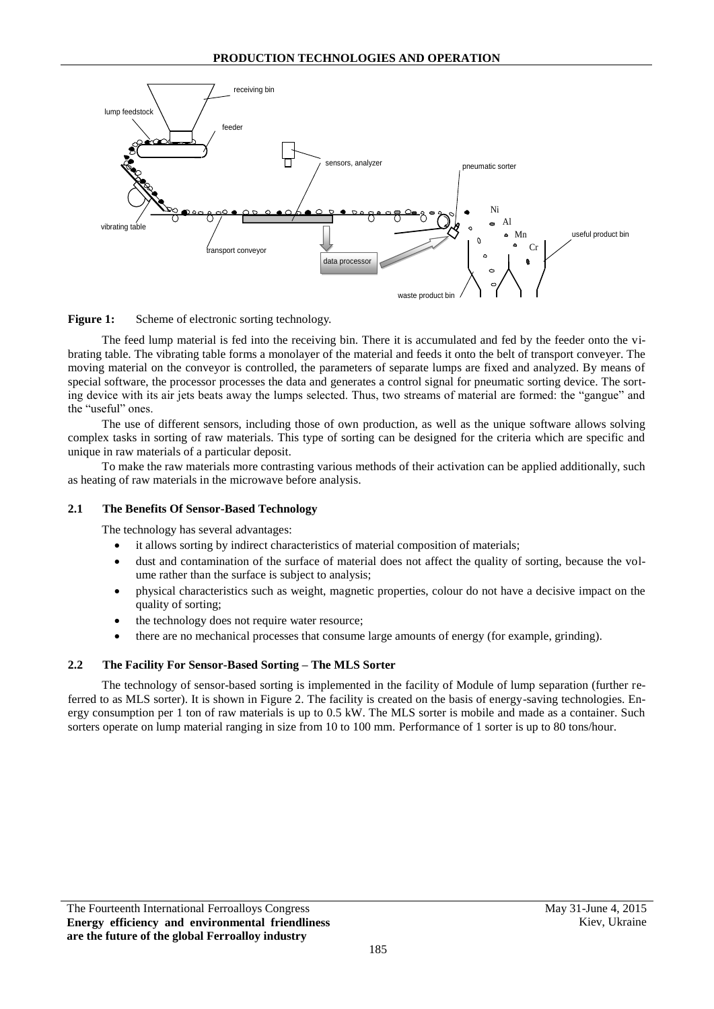

Figure 1: Scheme of electronic sorting technology.

The feed lump material is fed into the receiving bin. There it is accumulated and fed by the feeder onto the vibrating table. The vibrating table forms a monolayer of the material and feeds it onto the belt of transport conveyer. The moving material on the conveyor is controlled, the parameters of separate lumps are fixed and analyzed. By means of special software, the processor processes the data and generates a control signal for pneumatic sorting device. The sorting device with its air jets beats away the lumps selected. Thus, two streams of material are formed: the "gangue" and the "useful" ones.

The use of different sensors, including those of own production, as well as the unique software allows solving complex tasks in sorting of raw materials. This type of sorting can be designed for the criteria which are specific and unique in raw materials of a particular deposit.

To make the raw materials more contrasting various methods of their activation can be applied additionally, such as heating of raw materials in the microwave before analysis.

#### **2.1 The Benefits Of Sensor-Based Technology**

The technology has several advantages:

- it allows sorting by indirect characteristics of material composition of materials;
- dust and contamination of the surface of material does not affect the quality of sorting, because the volume rather than the surface is subject to analysis;
- physical characteristics such as weight, magnetic properties, colour do not have a decisive impact on the quality of sorting;
- the technology does not require water resource;
- there are no mechanical processes that consume large amounts of energy (for example, grinding).

#### **2.2 The Facility For Sensor-Based Sorting – The MLS Sorter**

The technology of sensor-based sorting is implemented in the facility of Module of lump separation (further referred to as MLS sorter). It is shown in Figure 2. The facility is created on the basis of energy-saving technologies. Energy consumption per 1 ton of raw materials is up to 0.5 kW. The MLS sorter is mobile and made as a container. Such sorters operate on lump material ranging in size from 10 to 100 mm. Performance of 1 sorter is up to 80 tons/hour.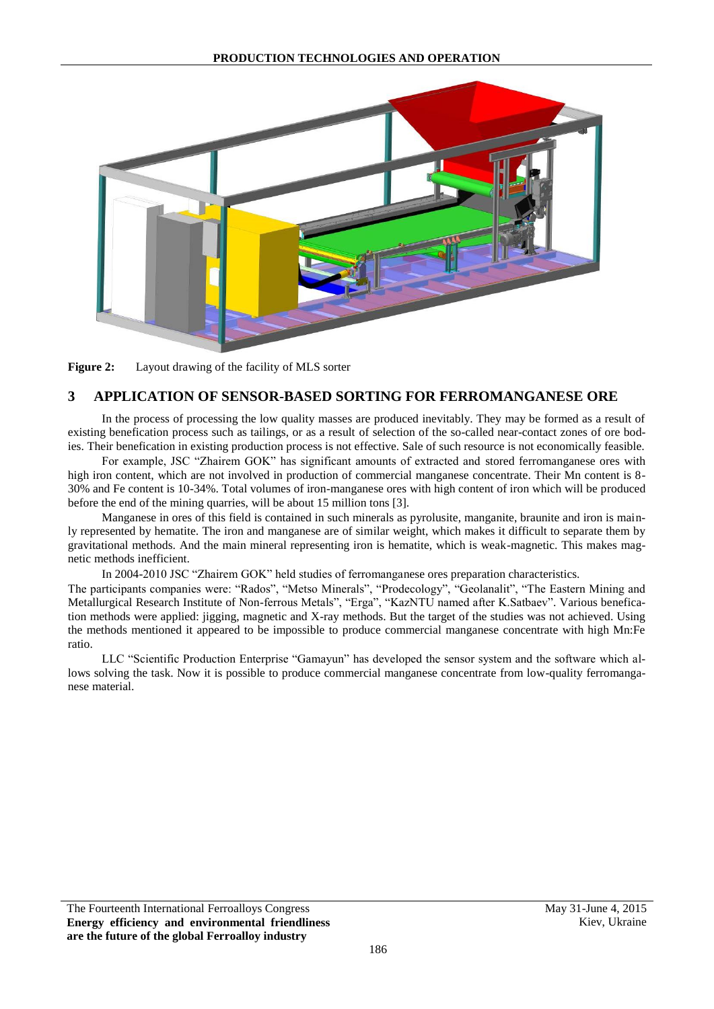

**Figure 2:** Layout drawing of the facility of MLS sorter

# **3 APPLICATION OF SENSOR-BASED SORTING FOR FERROMANGANESE ORE**

In the process of processing the low quality masses are produced inevitably. They may be formed as a result of existing benefication process such as tailings, or as a result of selection of the so-called near-contact zones of ore bodies. Their benefication in existing production process is not effective. Sale of such resource is not economically feasible.

For example, JSC "Zhairem GOK" has significant amounts of extracted and stored ferromanganese ores with high iron content, which are not involved in production of commercial manganese concentrate. Their Mn content is 8-30% and Fe content is 10-34%. Total volumes of iron-manganese ores with high content of iron which will be produced before the end of the mining quarries, will be about 15 million tons [3].

Manganese in ores of this field is contained in such minerals as pyrolusite, manganite, braunite and iron is mainly represented by hematite. The iron and manganese are of similar weight, which makes it difficult to separate them by gravitational methods. And the main mineral representing iron is hematite, which is weak-magnetic. This makes magnetic methods inefficient.

In 2004-2010 JSC "Zhairem GOK" held studies of ferromanganese ores preparation characteristics.

The participants companies were: "Rados", "Metso Minerals", "Prodecology", "Geolanalit", "The Eastern Mining and Metallurgical Research Institute of Non-ferrous Metals", "Erga", "KazNTU named after K.Satbaev". Various benefication methods were applied: jigging, magnetic and X-ray methods. But the target of the studies was not achieved. Using the methods mentioned it appeared to be impossible to produce commercial manganese concentrate with high Mn:Fe ratio.

LLC "Scientific Production Enterprise "Gamayun" has developed the sensor system and the software which allows solving the task. Now it is possible to produce commercial manganese concentrate from low-quality ferromanganese material.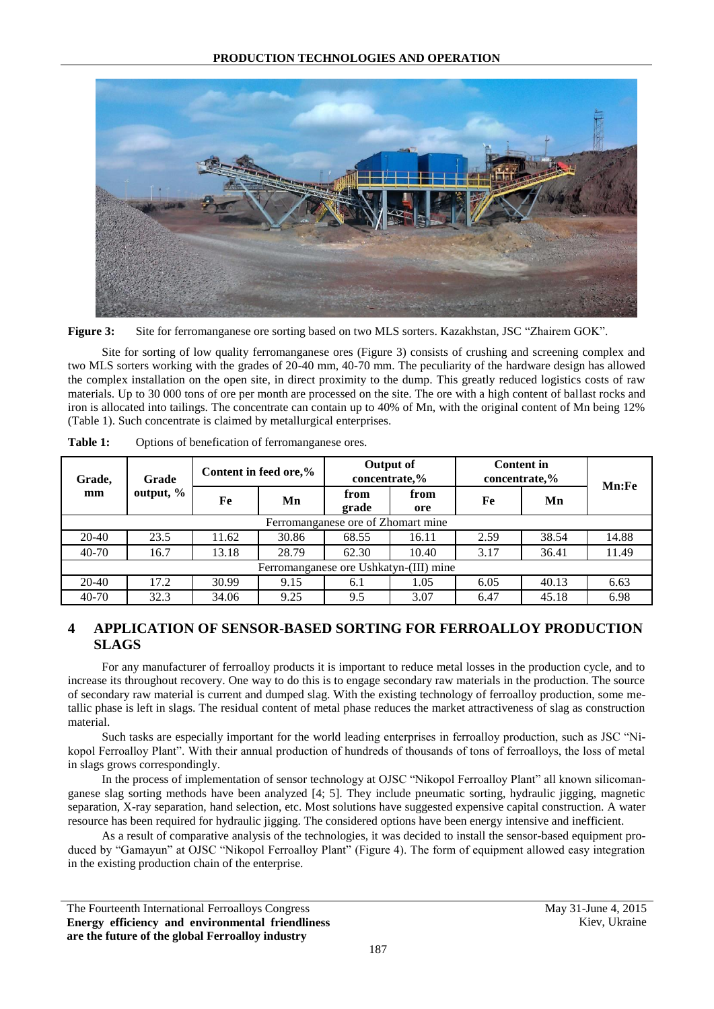

**Figure 3:** Site for ferromanganese ore sorting based on two MLS sorters. Kazakhstan, JSC "Zhairem GOK".

Site for sorting of low quality ferromanganese ores (Figure 3) consists of crushing and screening complex and two MLS sorters working with the grades of 20-40 mm, 40-70 mm. The peculiarity of the hardware design has allowed the complex installation on the open site, in direct proximity to the dump. This greatly reduced logistics costs of raw materials. Up to 30 000 tons of ore per month are processed on the site. The ore with a high content of ballast rocks and iron is allocated into tailings. The concentrate can contain up to 40% of Mn, with the original content of Mn being 12% (Table 1). Such concentrate is claimed by metallurgical enterprises.

| Grade,<br>mm                           | Grade<br>output, % | Content in feed ore,% |       | Output of<br>concentrate,% |             | <b>Content in</b><br>concentrate,% |       | Mn:Fe |
|----------------------------------------|--------------------|-----------------------|-------|----------------------------|-------------|------------------------------------|-------|-------|
|                                        |                    | Fe                    | Mn    | from<br>grade              | from<br>ore | Fe                                 | Mn    |       |
| Ferromanganese ore of Zhomart mine     |                    |                       |       |                            |             |                                    |       |       |
| 20-40                                  | 23.5               | 11.62                 | 30.86 | 68.55                      | 16.11       | 2.59                               | 38.54 | 14.88 |
| $40 - 70$                              | 16.7               | 13.18                 | 28.79 | 62.30                      | 10.40       | 3.17                               | 36.41 | 11.49 |
| Ferromanganese ore Ushkatyn-(III) mine |                    |                       |       |                            |             |                                    |       |       |
| 20-40                                  | 17.2               | 30.99                 | 9.15  | 6.1                        | 1.05        | 6.05                               | 40.13 | 6.63  |
| $40 - 70$                              | 32.3               | 34.06                 | 9.25  | 9.5                        | 3.07        | 6.47                               | 45.18 | 6.98  |

**Table 1:** Options of benefication of ferromanganese ores.

# **4 APPLICATION OF SENSOR-BASED SORTING FOR FERROALLOY PRODUCTION SLAGS**

For any manufacturer of ferroalloy products it is important to reduce metal losses in the production cycle, and to increase its throughout recovery. One way to do this is to engage secondary raw materials in the production. The source of secondary raw material is current and dumped slag. With the existing technology of ferroalloy production, some metallic phase is left in slags. The residual content of metal phase reduces the market attractiveness of slag as construction material.

Such tasks are especially important for the world leading enterprises in ferroalloy production, such as JSC "Nikopol Ferroalloy Plant". With their annual production of hundreds of thousands of tons of ferroalloys, the loss of metal in slags grows correspondingly.

In the process of implementation of sensor technology at OJSC "Nikopol Ferroalloy Plant" all known silicomanganese slag sorting methods have been analyzed [4; 5]. They include pneumatic sorting, hydraulic jigging, magnetic separation, X-ray separation, hand selection, etc. Most solutions have suggested expensive capital construction. A water resource has been required for hydraulic jigging. The considered options have been energy intensive and inefficient.

As a result of comparative analysis of the technologies, it was decided to install the sensor-based equipment produced by "Gamayun" at OJSC "Nikopol Ferroalloy Plant" (Figure 4). The form of equipment allowed easy integration in the existing production chain of the enterprise.

The Fourteenth International Ferroalloys Congress May 31-June 4, 2015 **Energy efficiency and environmental friendliness are the future of the global Ferroalloy industry**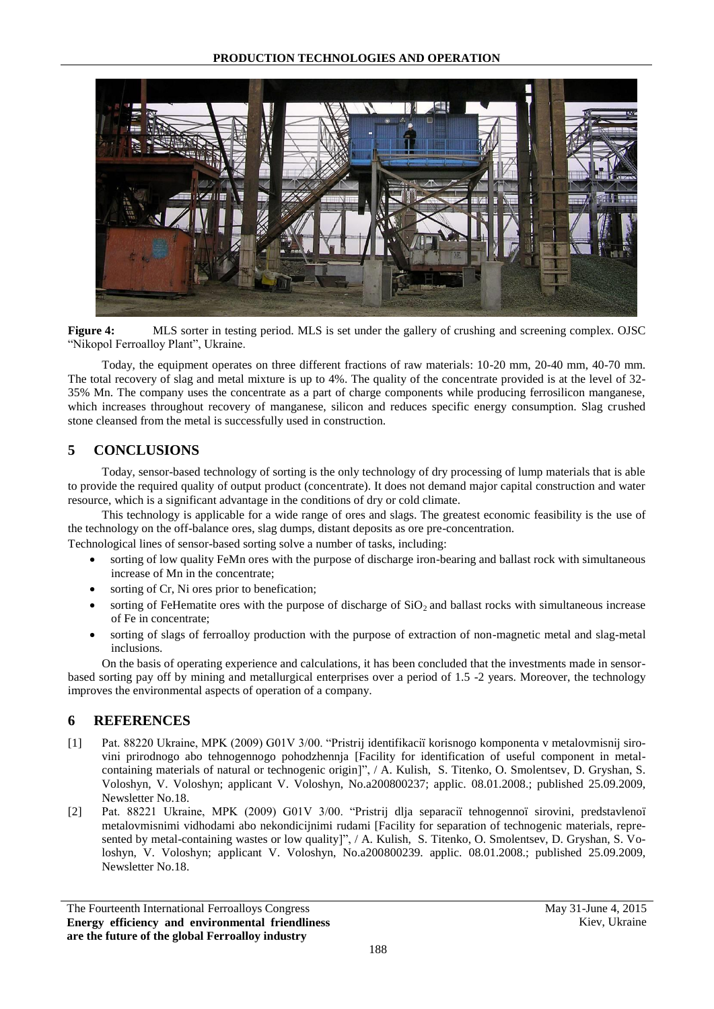#### **PRODUCTION TECHNOLOGIES AND OPERATION**



**Figure 4:** MLS sorter in testing period. MLS is set under the gallery of crushing and screening complex. OJSC "Nikopol Ferroalloy Plant", Ukraine.

Today, the equipment operates on three different fractions of raw materials: 10-20 mm, 20-40 mm, 40-70 mm. The total recovery of slag and metal mixture is up to 4%. The quality of the concentrate provided is at the level of 32- 35% Mn. The company uses the concentrate as a part of charge components while producing ferrosilicon manganese, which increases throughout recovery of manganese, silicon and reduces specific energy consumption. Slag crushed stone cleansed from the metal is successfully used in construction.

## **5 CONCLUSIONS**

Today, sensor-based technology of sorting is the only technology of dry processing of lump materials that is able to provide the required quality of output product (concentrate). It does not demand major capital construction and water resource, which is a significant advantage in the conditions of dry or cold climate.

This technology is applicable for a wide range of ores and slags. The greatest economic feasibility is the use of the technology on the off-balance ores, slag dumps, distant deposits as ore pre-concentration.

Technological lines of sensor-based sorting solve a number of tasks, including:

- sorting of low quality FeMn ores with the purpose of discharge iron-bearing and ballast rock with simultaneous increase of Mn in the concentrate;
- sorting of Cr, Ni ores prior to benefication;
- sorting of FeHematite ores with the purpose of discharge of  $SiO<sub>2</sub>$  and ballast rocks with simultaneous increase of Fe in concentrate;
- sorting of slags of ferroalloy production with the purpose of extraction of non-magnetic metal and slag-metal inclusions.

On the basis of operating experience and calculations, it has been concluded that the investments made in sensorbased sorting pay off by mining and metallurgical enterprises over a period of 1.5 -2 years. Moreover, the technology improves the environmental aspects of operation of a company.

## **6 REFERENCES**

- [1] Pat. 88220 Ukraine, MPK (2009) G01V 3/00. "Pristrіj іdentifіkacії korisnogo komponenta v metalovmіsnіj sirovinі prirodnogo abo tehnogennogo pohodzhennja [Facility for identification of useful component in metalcontaining materials of natural or technogenic origin]", / A. Kulish, S. Titenko, O. Smolentsev, D. Gryshan, S. Voloshyn, V. Voloshyn; applicant V. Voloshyn, No.a200800237; applic. 08.01.2008.; published 25.09.2009, Newsletter No.18.
- [2] Pat. 88221 Ukraine, MPK (2009) G01V 3/00. "Pristrіj dlja separacії tehnogennoї sirovini, predstavlenoї metalovmіsnimi vіdhodami abo nekondicіjnimi rudami [Facility for separation of technogenic materials, represented by metal-containing wastes or low quality]", / A. Kulish, S. Titenko, O. Smolentsev, D. Gryshan, S. Voloshyn, V. Voloshyn; applicant V. Voloshyn, No.a200800239. applic. 08.01.2008.; published 25.09.2009, Newsletter No.18.

The Fourteenth International Ferroalloys Congress May 31-June 4, 2015 **Energy efficiency and environmental friendliness are the future of the global Ferroalloy industry**